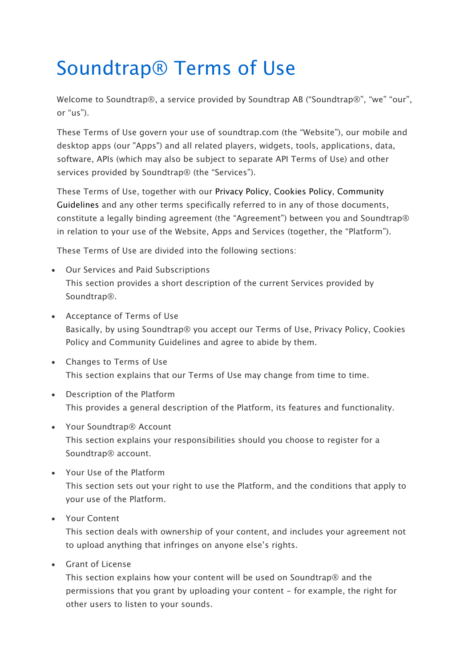# Soundtrap® Terms of Use

Welcome to Soundtrap®, a service provided by Soundtrap AB ("Soundtrap®", "we" "our", or "us").

These Terms of Use govern your use of soundtrap.com (the "Website"), our mobile and desktop apps (our "Apps") and all related players, widgets, tools, applications, data, software, APIs (which may also be subject to separate API Terms of Use) and other services provided by Soundtrap® (the "Services").

These Terms of Use, together with our Privacy Policy, Cookies Policy, Community Guidelines and any other terms specifically referred to in any of those documents, constitute a legally binding agreement (the "Agreement") between you and Soundtrap® in relation to your use of the Website, Apps and Services (together, the "Platform").

These Terms of Use are divided into the following sections:

- Our Services and Paid Subscriptions This section provides a short description of the current Services provided by Soundtrap®.
- Acceptance of Terms of Use Basically, by using Soundtrap® you accept our Terms of Use, Privacy Policy, Cookies Policy and Community Guidelines and agree to abide by them.
- Changes to Terms of Use This section explains that our Terms of Use may change from time to time.
- Description of the Platform This provides a general description of the Platform, its features and functionality.
- Your Soundtrap® Account This section explains your responsibilities should you choose to register for a Soundtrap® account.
- Your Use of the Platform This section sets out your right to use the Platform, and the conditions that apply to your use of the Platform.
- Your Content

This section deals with ownership of your content, and includes your agreement not to upload anything that infringes on anyone else's rights.

• Grant of License

This section explains how your content will be used on Soundtrap® and the permissions that you grant by uploading your content - for example, the right for other users to listen to your sounds.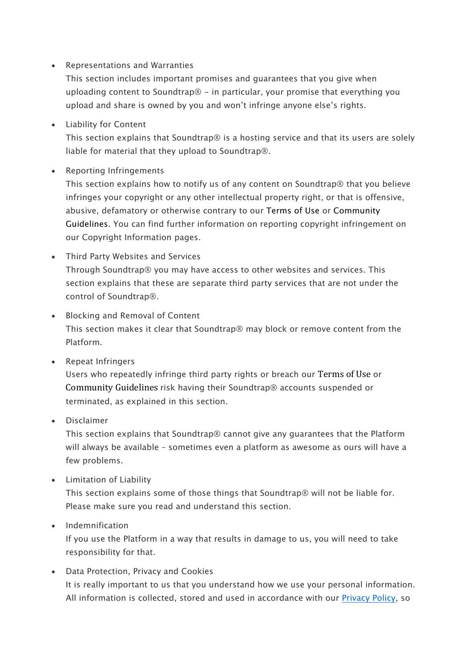• Representations and Warranties

This section includes important promises and guarantees that you give when uploading content to Soundtrap® - in particular, your promise that everything you upload and share is owned by you and won't infringe anyone else's rights.

• Liability for Content

This section explains that Soundtrap® is a hosting service and that its users are solely liable for material that they upload to Soundtrap®.

• Reporting Infringements

This section explains how to notify us of any content on Soundtrap® that you believe infringes your copyright or any other intellectual property right, or that is offensive, abusive, defamatory or otherwise contrary to our Terms of Use or Community Guidelines. You can find further information on reporting copyright infringement on our Copyright Information pages.

- Third Party Websites and Services Through Soundtrap® you may have access to other websites and services. This section explains that these are separate third party services that are not under the control of Soundtrap®.
- Blocking and Removal of Content This section makes it clear that Soundtrap® may block or remove content from the Platform.
- Repeat Infringers

Users who repeatedly infringe third party rights or breach our Terms of Use or Community Guidelines risk having their Soundtrap® accounts suspended or terminated, as explained in this section.

• Disclaimer

This section explains that Soundtrap® cannot give any guarantees that the Platform will always be available – sometimes even a platform as awesome as ours will have a few problems.

• Limitation of Liability

This section explains some of those things that Soundtrap® will not be liable for. Please make sure you read and understand this section.

#### • Indemnification

If you use the Platform in a way that results in damage to us, you will need to take responsibility for that.

• Data Protection, Privacy and Cookies It is really important to us that you understand how we use your personal information. All information is collected, stored and used in accordance with our Privacy Policy, so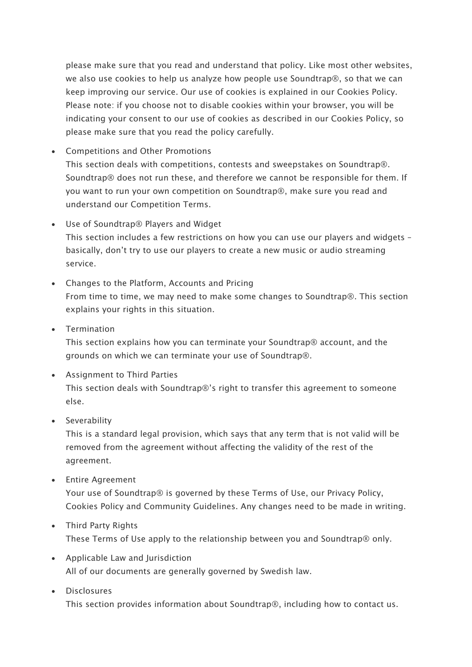please make sure that you read and understand that policy. Like most other websites, we also use cookies to help us analyze how people use Soundtrap®, so that we can keep improving our service. Our use of cookies is explained in our Cookies Policy. Please note: if you choose not to disable cookies within your browser, you will be indicating your consent to our use of cookies as described in our Cookies Policy, so please make sure that you read the policy carefully.

• Competitions and Other Promotions

This section deals with competitions, contests and sweepstakes on Soundtrap®. Soundtrap® does not run these, and therefore we cannot be responsible for them. If you want to run your own competition on Soundtrap®, make sure you read and understand our Competition Terms.

- Use of Soundtrap® Players and Widget This section includes a few restrictions on how you can use our players and widgets – basically, don't try to use our players to create a new music or audio streaming service.
- Changes to the Platform, Accounts and Pricing From time to time, we may need to make some changes to Soundtrap®. This section explains your rights in this situation.
- Termination

This section explains how you can terminate your Soundtrap® account, and the grounds on which we can terminate your use of Soundtrap®.

• Assignment to Third Parties

This section deals with Soundtrap®'s right to transfer this agreement to someone else.

• Severability

This is a standard legal provision, which says that any term that is not valid will be removed from the agreement without affecting the validity of the rest of the agreement.

• Entire Agreement

Your use of Soundtrap® is governed by these Terms of Use, our Privacy Policy, Cookies Policy and Community Guidelines. Any changes need to be made in writing.

- Third Party Rights These Terms of Use apply to the relationship between you and Soundtrap® only.
- Applicable Law and Jurisdiction All of our documents are generally governed by Swedish law.
- Disclosures

This section provides information about Soundtrap®, including how to contact us.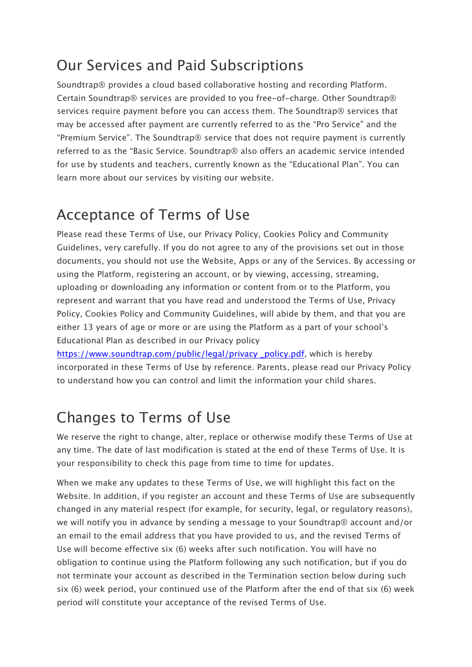#### Our Services and Paid Subscriptions

Soundtrap® provides a cloud based collaborative hosting and recording Platform. Certain Soundtrap® services are provided to you free-of-charge. Other Soundtrap® services require payment before you can access them. The Soundtrap® services that may be accessed after payment are currently referred to as the "Pro Service" and the "Premium Service". The Soundtrap® service that does not require payment is currently referred to as the "Basic Service. Soundtrap® also offers an academic service intended for use by students and teachers, currently known as the "Educational Plan". You can learn more about our services by visiting our website.

#### Acceptance of Terms of Use

Please read these Terms of Use, our Privacy Policy, Cookies Policy and Community Guidelines, very carefully. If you do not agree to any of the provisions set out in those documents, you should not use the Website, Apps or any of the Services. By accessing or using the Platform, registering an account, or by viewing, accessing, streaming, uploading or downloading any information or content from or to the Platform, you represent and warrant that you have read and understood the Terms of Use, Privacy Policy, Cookies Policy and Community Guidelines, will abide by them, and that you are either 13 years of age or more or are using the Platform as a part of your school's Educational Plan as described in our Privacy policy

https://www.soundtrap.com/public/legal/privacy \_policy.pdf, which is hereby incorporated in these Terms of Use by reference. Parents, please read our Privacy Policy to understand how you can control and limit the information your child shares.

## Changes to Terms of Use

We reserve the right to change, alter, replace or otherwise modify these Terms of Use at any time. The date of last modification is stated at the end of these Terms of Use. It is your responsibility to check this page from time to time for updates.

When we make any updates to these Terms of Use, we will highlight this fact on the Website. In addition, if you register an account and these Terms of Use are subsequently changed in any material respect (for example, for security, legal, or regulatory reasons), we will notify you in advance by sending a message to your Soundtrap® account and/or an email to the email address that you have provided to us, and the revised Terms of Use will become effective six (6) weeks after such notification. You will have no obligation to continue using the Platform following any such notification, but if you do not terminate your account as described in the Termination section below during such six (6) week period, your continued use of the Platform after the end of that six (6) week period will constitute your acceptance of the revised Terms of Use.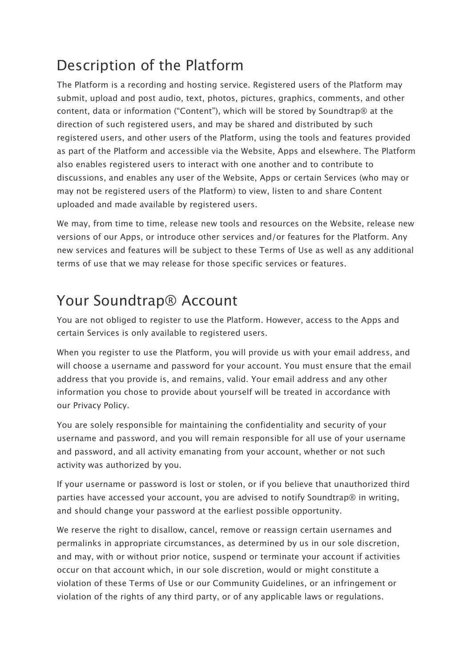## Description of the Platform

The Platform is a recording and hosting service. Registered users of the Platform may submit, upload and post audio, text, photos, pictures, graphics, comments, and other content, data or information ("Content"), which will be stored by Soundtrap® at the direction of such registered users, and may be shared and distributed by such registered users, and other users of the Platform, using the tools and features provided as part of the Platform and accessible via the Website, Apps and elsewhere. The Platform also enables registered users to interact with one another and to contribute to discussions, and enables any user of the Website, Apps or certain Services (who may or may not be registered users of the Platform) to view, listen to and share Content uploaded and made available by registered users.

We may, from time to time, release new tools and resources on the Website, release new versions of our Apps, or introduce other services and/or features for the Platform. Any new services and features will be subject to these Terms of Use as well as any additional terms of use that we may release for those specific services or features.

#### Your Soundtrap® Account

You are not obliged to register to use the Platform. However, access to the Apps and certain Services is only available to registered users.

When you register to use the Platform, you will provide us with your email address, and will choose a username and password for your account. You must ensure that the email address that you provide is, and remains, valid. Your email address and any other information you chose to provide about yourself will be treated in accordance with our Privacy Policy.

You are solely responsible for maintaining the confidentiality and security of your username and password, and you will remain responsible for all use of your username and password, and all activity emanating from your account, whether or not such activity was authorized by you.

If your username or password is lost or stolen, or if you believe that unauthorized third parties have accessed your account, you are advised to notify Soundtrap® in writing, and should change your password at the earliest possible opportunity.

We reserve the right to disallow, cancel, remove or reassign certain usernames and permalinks in appropriate circumstances, as determined by us in our sole discretion, and may, with or without prior notice, suspend or terminate your account if activities occur on that account which, in our sole discretion, would or might constitute a violation of these Terms of Use or our Community Guidelines, or an infringement or violation of the rights of any third party, or of any applicable laws or regulations.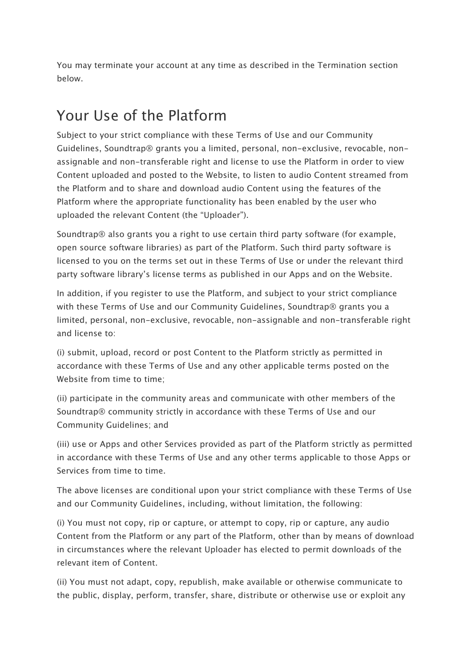You may terminate your account at any time as described in the Termination section below.

## Your Use of the Platform

Subject to your strict compliance with these Terms of Use and our Community Guidelines, Soundtrap® grants you a limited, personal, non-exclusive, revocable, nonassignable and non-transferable right and license to use the Platform in order to view Content uploaded and posted to the Website, to listen to audio Content streamed from the Platform and to share and download audio Content using the features of the Platform where the appropriate functionality has been enabled by the user who uploaded the relevant Content (the "Uploader").

Soundtrap® also grants you a right to use certain third party software (for example, open source software libraries) as part of the Platform. Such third party software is licensed to you on the terms set out in these Terms of Use or under the relevant third party software library's license terms as published in our Apps and on the Website.

In addition, if you register to use the Platform, and subject to your strict compliance with these Terms of Use and our Community Guidelines, Soundtrap® grants you a limited, personal, non-exclusive, revocable, non-assignable and non-transferable right and license to:

(i) submit, upload, record or post Content to the Platform strictly as permitted in accordance with these Terms of Use and any other applicable terms posted on the Website from time to time:

(ii) participate in the community areas and communicate with other members of the Soundtrap® community strictly in accordance with these Terms of Use and our Community Guidelines; and

(iii) use or Apps and other Services provided as part of the Platform strictly as permitted in accordance with these Terms of Use and any other terms applicable to those Apps or Services from time to time.

The above licenses are conditional upon your strict compliance with these Terms of Use and our Community Guidelines, including, without limitation, the following:

(i) You must not copy, rip or capture, or attempt to copy, rip or capture, any audio Content from the Platform or any part of the Platform, other than by means of download in circumstances where the relevant Uploader has elected to permit downloads of the relevant item of Content.

(ii) You must not adapt, copy, republish, make available or otherwise communicate to the public, display, perform, transfer, share, distribute or otherwise use or exploit any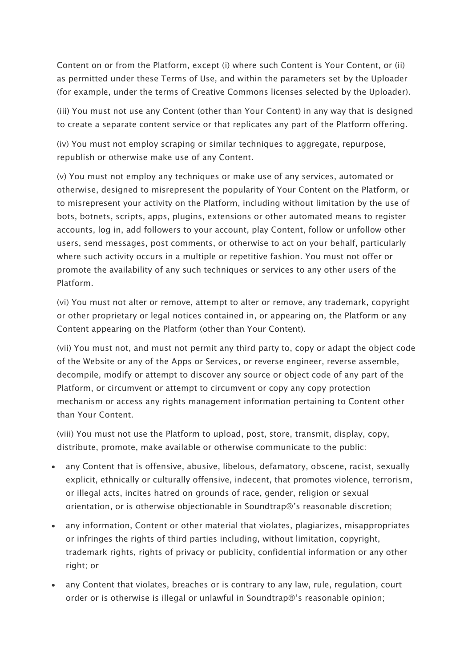Content on or from the Platform, except (i) where such Content is Your Content, or (ii) as permitted under these Terms of Use, and within the parameters set by the Uploader (for example, under the terms of Creative Commons licenses selected by the Uploader).

(iii) You must not use any Content (other than Your Content) in any way that is designed to create a separate content service or that replicates any part of the Platform offering.

(iv) You must not employ scraping or similar techniques to aggregate, repurpose, republish or otherwise make use of any Content.

(v) You must not employ any techniques or make use of any services, automated or otherwise, designed to misrepresent the popularity of Your Content on the Platform, or to misrepresent your activity on the Platform, including without limitation by the use of bots, botnets, scripts, apps, plugins, extensions or other automated means to register accounts, log in, add followers to your account, play Content, follow or unfollow other users, send messages, post comments, or otherwise to act on your behalf, particularly where such activity occurs in a multiple or repetitive fashion. You must not offer or promote the availability of any such techniques or services to any other users of the Platform.

(vi) You must not alter or remove, attempt to alter or remove, any trademark, copyright or other proprietary or legal notices contained in, or appearing on, the Platform or any Content appearing on the Platform (other than Your Content).

(vii) You must not, and must not permit any third party to, copy or adapt the object code of the Website or any of the Apps or Services, or reverse engineer, reverse assemble, decompile, modify or attempt to discover any source or object code of any part of the Platform, or circumvent or attempt to circumvent or copy any copy protection mechanism or access any rights management information pertaining to Content other than Your Content.

(viii) You must not use the Platform to upload, post, store, transmit, display, copy, distribute, promote, make available or otherwise communicate to the public:

- any Content that is offensive, abusive, libelous, defamatory, obscene, racist, sexually explicit, ethnically or culturally offensive, indecent, that promotes violence, terrorism, or illegal acts, incites hatred on grounds of race, gender, religion or sexual orientation, or is otherwise objectionable in Soundtrap®'s reasonable discretion;
- any information, Content or other material that violates, plagiarizes, misappropriates or infringes the rights of third parties including, without limitation, copyright, trademark rights, rights of privacy or publicity, confidential information or any other right; or
- any Content that violates, breaches or is contrary to any law, rule, regulation, court order or is otherwise is illegal or unlawful in Soundtrap®'s reasonable opinion;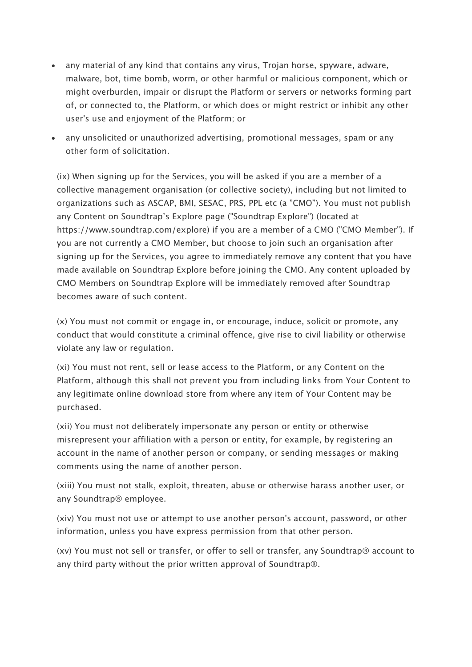- any material of any kind that contains any virus, Trojan horse, spyware, adware, malware, bot, time bomb, worm, or other harmful or malicious component, which or might overburden, impair or disrupt the Platform or servers or networks forming part of, or connected to, the Platform, or which does or might restrict or inhibit any other user's use and enjoyment of the Platform; or
- any unsolicited or unauthorized advertising, promotional messages, spam or any other form of solicitation.

(ix) When signing up for the Services, you will be asked if you are a member of a collective management organisation (or collective society), including but not limited to organizations such as ASCAP, BMI, SESAC, PRS, PPL etc (a "CMO"). You must not publish any Content on Soundtrap's Explore page ("Soundtrap Explore") (located at https://www.soundtrap.com/explore) if you are a member of a CMO ("CMO Member"). If you are not currently a CMO Member, but choose to join such an organisation after signing up for the Services, you agree to immediately remove any content that you have made available on Soundtrap Explore before joining the CMO. Any content uploaded by CMO Members on Soundtrap Explore will be immediately removed after Soundtrap becomes aware of such content.

(x) You must not commit or engage in, or encourage, induce, solicit or promote, any conduct that would constitute a criminal offence, give rise to civil liability or otherwise violate any law or regulation.

(xi) You must not rent, sell or lease access to the Platform, or any Content on the Platform, although this shall not prevent you from including links from Your Content to any legitimate online download store from where any item of Your Content may be purchased.

(xii) You must not deliberately impersonate any person or entity or otherwise misrepresent your affiliation with a person or entity, for example, by registering an account in the name of another person or company, or sending messages or making comments using the name of another person.

(xiii) You must not stalk, exploit, threaten, abuse or otherwise harass another user, or any Soundtrap® employee.

(xiv) You must not use or attempt to use another person's account, password, or other information, unless you have express permission from that other person.

(xv) You must not sell or transfer, or offer to sell or transfer, any Soundtrap® account to any third party without the prior written approval of Soundtrap®.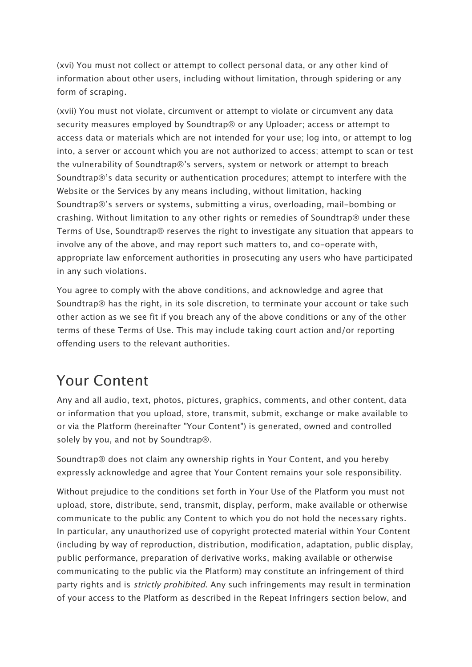(xvi) You must not collect or attempt to collect personal data, or any other kind of information about other users, including without limitation, through spidering or any form of scraping.

(xvii) You must not violate, circumvent or attempt to violate or circumvent any data security measures employed by Soundtrap® or any Uploader; access or attempt to access data or materials which are not intended for your use; log into, or attempt to log into, a server or account which you are not authorized to access; attempt to scan or test the vulnerability of Soundtrap®'s servers, system or network or attempt to breach Soundtrap®'s data security or authentication procedures; attempt to interfere with the Website or the Services by any means including, without limitation, hacking Soundtrap®'s servers or systems, submitting a virus, overloading, mail-bombing or crashing. Without limitation to any other rights or remedies of Soundtrap® under these Terms of Use, Soundtrap® reserves the right to investigate any situation that appears to involve any of the above, and may report such matters to, and co-operate with, appropriate law enforcement authorities in prosecuting any users who have participated in any such violations.

You agree to comply with the above conditions, and acknowledge and agree that Soundtrap® has the right, in its sole discretion, to terminate your account or take such other action as we see fit if you breach any of the above conditions or any of the other terms of these Terms of Use. This may include taking court action and/or reporting offending users to the relevant authorities.

#### Your Content

Any and all audio, text, photos, pictures, graphics, comments, and other content, data or information that you upload, store, transmit, submit, exchange or make available to or via the Platform (hereinafter "Your Content") is generated, owned and controlled solely by you, and not by Soundtrap®.

Soundtrap® does not claim any ownership rights in Your Content, and you hereby expressly acknowledge and agree that Your Content remains your sole responsibility.

Without prejudice to the conditions set forth in Your Use of the Platform you must not upload, store, distribute, send, transmit, display, perform, make available or otherwise communicate to the public any Content to which you do not hold the necessary rights. In particular, any unauthorized use of copyright protected material within Your Content (including by way of reproduction, distribution, modification, adaptation, public display, public performance, preparation of derivative works, making available or otherwise communicating to the public via the Platform) may constitute an infringement of third party rights and is *strictly prohibited*. Any such infringements may result in termination of your access to the Platform as described in the Repeat Infringers section below, and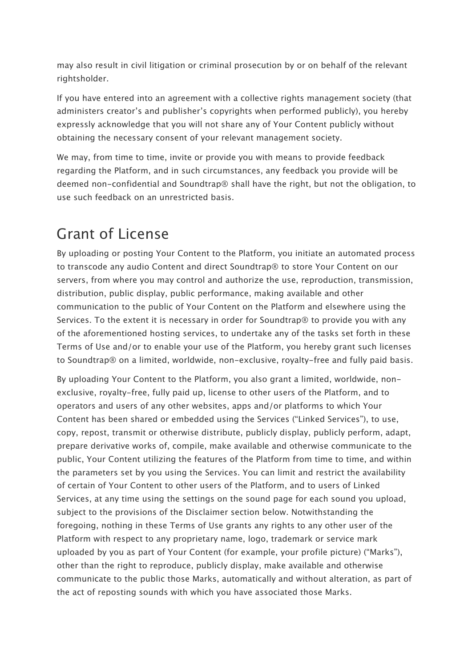may also result in civil litigation or criminal prosecution by or on behalf of the relevant rightsholder.

If you have entered into an agreement with a collective rights management society (that administers creator's and publisher's copyrights when performed publicly), you hereby expressly acknowledge that you will not share any of Your Content publicly without obtaining the necessary consent of your relevant management society.

We may, from time to time, invite or provide you with means to provide feedback regarding the Platform, and in such circumstances, any feedback you provide will be deemed non-confidential and Soundtrap® shall have the right, but not the obligation, to use such feedback on an unrestricted basis.

## Grant of License

By uploading or posting Your Content to the Platform, you initiate an automated process to transcode any audio Content and direct Soundtrap® to store Your Content on our servers, from where you may control and authorize the use, reproduction, transmission, distribution, public display, public performance, making available and other communication to the public of Your Content on the Platform and elsewhere using the Services. To the extent it is necessary in order for Soundtrap® to provide you with any of the aforementioned hosting services, to undertake any of the tasks set forth in these Terms of Use and/or to enable your use of the Platform, you hereby grant such licenses to Soundtrap® on a limited, worldwide, non-exclusive, royalty-free and fully paid basis.

By uploading Your Content to the Platform, you also grant a limited, worldwide, nonexclusive, royalty-free, fully paid up, license to other users of the Platform, and to operators and users of any other websites, apps and/or platforms to which Your Content has been shared or embedded using the Services ("Linked Services"), to use, copy, repost, transmit or otherwise distribute, publicly display, publicly perform, adapt, prepare derivative works of, compile, make available and otherwise communicate to the public, Your Content utilizing the features of the Platform from time to time, and within the parameters set by you using the Services. You can limit and restrict the availability of certain of Your Content to other users of the Platform, and to users of Linked Services, at any time using the settings on the sound page for each sound you upload, subject to the provisions of the Disclaimer section below. Notwithstanding the foregoing, nothing in these Terms of Use grants any rights to any other user of the Platform with respect to any proprietary name, logo, trademark or service mark uploaded by you as part of Your Content (for example, your profile picture) ("Marks"), other than the right to reproduce, publicly display, make available and otherwise communicate to the public those Marks, automatically and without alteration, as part of the act of reposting sounds with which you have associated those Marks.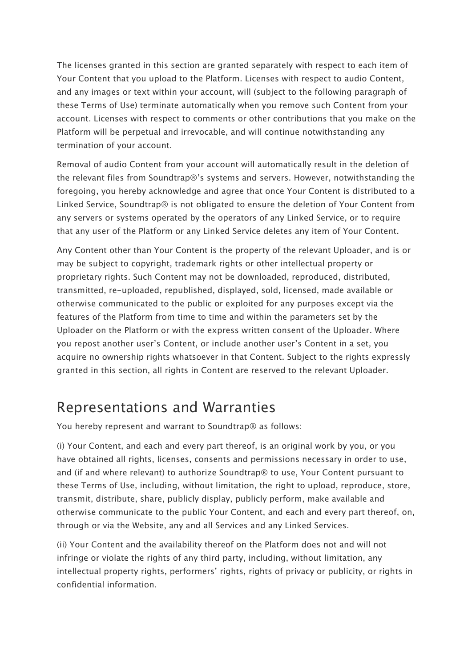The licenses granted in this section are granted separately with respect to each item of Your Content that you upload to the Platform. Licenses with respect to audio Content, and any images or text within your account, will (subject to the following paragraph of these Terms of Use) terminate automatically when you remove such Content from your account. Licenses with respect to comments or other contributions that you make on the Platform will be perpetual and irrevocable, and will continue notwithstanding any termination of your account.

Removal of audio Content from your account will automatically result in the deletion of the relevant files from Soundtrap®'s systems and servers. However, notwithstanding the foregoing, you hereby acknowledge and agree that once Your Content is distributed to a Linked Service, Soundtrap® is not obligated to ensure the deletion of Your Content from any servers or systems operated by the operators of any Linked Service, or to require that any user of the Platform or any Linked Service deletes any item of Your Content.

Any Content other than Your Content is the property of the relevant Uploader, and is or may be subject to copyright, trademark rights or other intellectual property or proprietary rights. Such Content may not be downloaded, reproduced, distributed, transmitted, re-uploaded, republished, displayed, sold, licensed, made available or otherwise communicated to the public or exploited for any purposes except via the features of the Platform from time to time and within the parameters set by the Uploader on the Platform or with the express written consent of the Uploader. Where you repost another user's Content, or include another user's Content in a set, you acquire no ownership rights whatsoever in that Content. Subject to the rights expressly granted in this section, all rights in Content are reserved to the relevant Uploader.

#### Representations and Warranties

You hereby represent and warrant to Soundtrap® as follows:

(i) Your Content, and each and every part thereof, is an original work by you, or you have obtained all rights, licenses, consents and permissions necessary in order to use, and (if and where relevant) to authorize Soundtrap® to use, Your Content pursuant to these Terms of Use, including, without limitation, the right to upload, reproduce, store, transmit, distribute, share, publicly display, publicly perform, make available and otherwise communicate to the public Your Content, and each and every part thereof, on, through or via the Website, any and all Services and any Linked Services.

(ii) Your Content and the availability thereof on the Platform does not and will not infringe or violate the rights of any third party, including, without limitation, any intellectual property rights, performers' rights, rights of privacy or publicity, or rights in confidential information.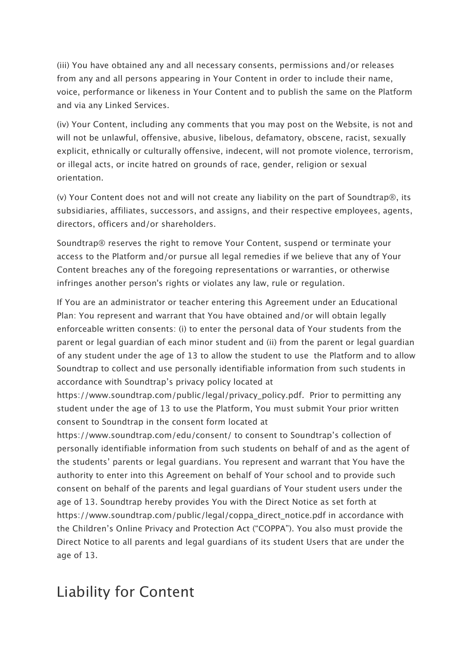(iii) You have obtained any and all necessary consents, permissions and/or releases from any and all persons appearing in Your Content in order to include their name, voice, performance or likeness in Your Content and to publish the same on the Platform and via any Linked Services.

(iv) Your Content, including any comments that you may post on the Website, is not and will not be unlawful, offensive, abusive, libelous, defamatory, obscene, racist, sexually explicit, ethnically or culturally offensive, indecent, will not promote violence, terrorism, or illegal acts, or incite hatred on grounds of race, gender, religion or sexual orientation.

(v) Your Content does not and will not create any liability on the part of Soundtrap®, its subsidiaries, affiliates, successors, and assigns, and their respective employees, agents, directors, officers and/or shareholders.

Soundtrap® reserves the right to remove Your Content, suspend or terminate your access to the Platform and/or pursue all legal remedies if we believe that any of Your Content breaches any of the foregoing representations or warranties, or otherwise infringes another person's rights or violates any law, rule or regulation.

If You are an administrator or teacher entering this Agreement under an Educational Plan: You represent and warrant that You have obtained and/or will obtain legally enforceable written consents: (i) to enter the personal data of Your students from the parent or legal guardian of each minor student and (ii) from the parent or legal guardian of any student under the age of 13 to allow the student to use the Platform and to allow Soundtrap to collect and use personally identifiable information from such students in accordance with Soundtrap's privacy policy located at

https://www.soundtrap.com/public/legal/privacy\_policy.pdf. Prior to permitting any student under the age of 13 to use the Platform, You must submit Your prior written consent to Soundtrap in the consent form located at

https://www.soundtrap.com/edu/consent/ to consent to Soundtrap's collection of personally identifiable information from such students on behalf of and as the agent of the students' parents or legal guardians. You represent and warrant that You have the authority to enter into this Agreement on behalf of Your school and to provide such consent on behalf of the parents and legal guardians of Your student users under the age of 13. Soundtrap hereby provides You with the Direct Notice as set forth at https://www.soundtrap.com/public/legal/coppa\_direct\_notice.pdf in accordance with the Children's Online Privacy and Protection Act ("COPPA"). You also must provide the Direct Notice to all parents and legal guardians of its student Users that are under the age of 13.

#### Liability for Content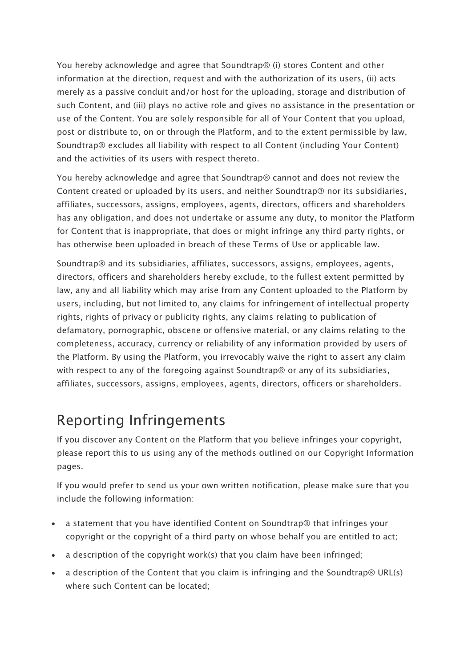You hereby acknowledge and agree that Soundtrap® (i) stores Content and other information at the direction, request and with the authorization of its users, (ii) acts merely as a passive conduit and/or host for the uploading, storage and distribution of such Content, and (iii) plays no active role and gives no assistance in the presentation or use of the Content. You are solely responsible for all of Your Content that you upload, post or distribute to, on or through the Platform, and to the extent permissible by law, Soundtrap® excludes all liability with respect to all Content (including Your Content) and the activities of its users with respect thereto.

You hereby acknowledge and agree that Soundtrap® cannot and does not review the Content created or uploaded by its users, and neither Soundtrap® nor its subsidiaries, affiliates, successors, assigns, employees, agents, directors, officers and shareholders has any obligation, and does not undertake or assume any duty, to monitor the Platform for Content that is inappropriate, that does or might infringe any third party rights, or has otherwise been uploaded in breach of these Terms of Use or applicable law.

Soundtrap® and its subsidiaries, affiliates, successors, assigns, employees, agents, directors, officers and shareholders hereby exclude, to the fullest extent permitted by law, any and all liability which may arise from any Content uploaded to the Platform by users, including, but not limited to, any claims for infringement of intellectual property rights, rights of privacy or publicity rights, any claims relating to publication of defamatory, pornographic, obscene or offensive material, or any claims relating to the completeness, accuracy, currency or reliability of any information provided by users of the Platform. By using the Platform, you irrevocably waive the right to assert any claim with respect to any of the foregoing against Soundtrap® or any of its subsidiaries, affiliates, successors, assigns, employees, agents, directors, officers or shareholders.

#### Reporting Infringements

If you discover any Content on the Platform that you believe infringes your copyright, please report this to us using any of the methods outlined on our Copyright Information pages.

If you would prefer to send us your own written notification, please make sure that you include the following information:

- a statement that you have identified Content on Soundtrap® that infringes your copyright or the copyright of a third party on whose behalf you are entitled to act;
- a description of the copyright work(s) that you claim have been infringed;
- a description of the Content that you claim is infringing and the Soundtrap® URL(s) where such Content can be located;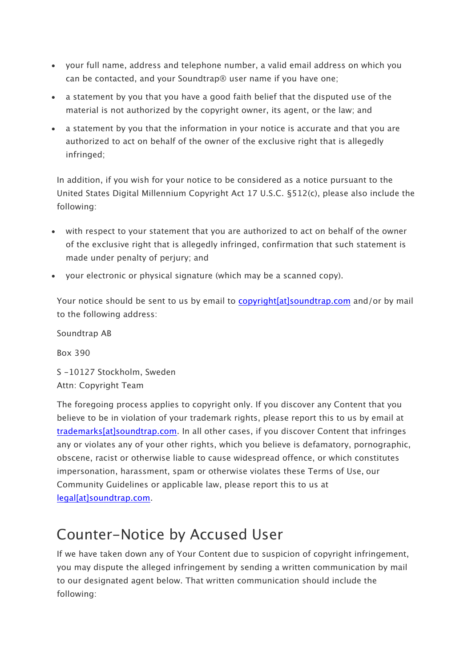- your full name, address and telephone number, a valid email address on which you can be contacted, and your Soundtrap® user name if you have one;
- a statement by you that you have a good faith belief that the disputed use of the material is not authorized by the copyright owner, its agent, or the law; and
- a statement by you that the information in your notice is accurate and that you are authorized to act on behalf of the owner of the exclusive right that is allegedly infringed;

In addition, if you wish for your notice to be considered as a notice pursuant to the United States Digital Millennium Copyright Act 17 U.S.C. §512(c), please also include the following:

- with respect to your statement that you are authorized to act on behalf of the owner of the exclusive right that is allegedly infringed, confirmation that such statement is made under penalty of perjury; and
- your electronic or physical signature (which may be a scanned copy).

Your notice should be sent to us by email to copyright[at]soundtrap.com and/or by mail to the following address:

Soundtrap AB Box 390 S -10127 Stockholm, Sweden

Attn: Copyright Team

The foregoing process applies to copyright only. If you discover any Content that you believe to be in violation of your trademark rights, please report this to us by email at trademarks[at]soundtrap.com. In all other cases, if you discover Content that infringes any or violates any of your other rights, which you believe is defamatory, pornographic, obscene, racist or otherwise liable to cause widespread offence, or which constitutes impersonation, harassment, spam or otherwise violates these Terms of Use, our Community Guidelines or applicable law, please report this to us at legal[at]soundtrap.com.

#### Counter-Notice by Accused User

If we have taken down any of Your Content due to suspicion of copyright infringement, you may dispute the alleged infringement by sending a written communication by mail to our designated agent below. That written communication should include the following: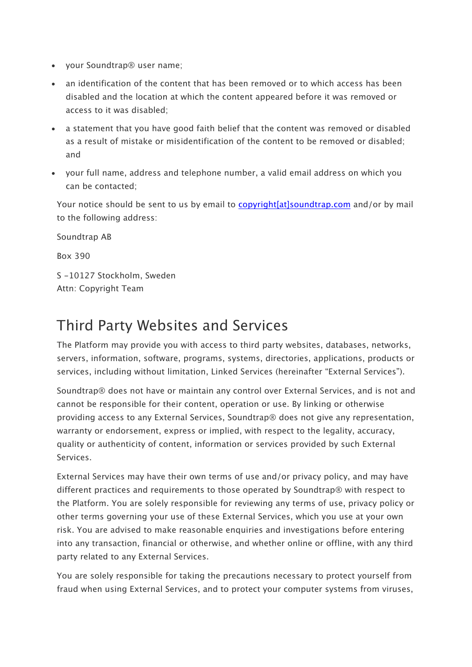- your Soundtrap® user name;
- an identification of the content that has been removed or to which access has been disabled and the location at which the content appeared before it was removed or access to it was disabled;
- a statement that you have good faith belief that the content was removed or disabled as a result of mistake or misidentification of the content to be removed or disabled; and
- your full name, address and telephone number, a valid email address on which you can be contacted;

Your notice should be sent to us by email to copyright[at]soundtrap.com and/or by mail to the following address:

Soundtrap AB Box 390 S -10127 Stockholm, Sweden Attn: Copyright Team

#### Third Party Websites and Services

The Platform may provide you with access to third party websites, databases, networks, servers, information, software, programs, systems, directories, applications, products or services, including without limitation, Linked Services (hereinafter "External Services").

Soundtrap® does not have or maintain any control over External Services, and is not and cannot be responsible for their content, operation or use. By linking or otherwise providing access to any External Services, Soundtrap® does not give any representation, warranty or endorsement, express or implied, with respect to the legality, accuracy, quality or authenticity of content, information or services provided by such External Services.

External Services may have their own terms of use and/or privacy policy, and may have different practices and requirements to those operated by Soundtrap® with respect to the Platform. You are solely responsible for reviewing any terms of use, privacy policy or other terms governing your use of these External Services, which you use at your own risk. You are advised to make reasonable enquiries and investigations before entering into any transaction, financial or otherwise, and whether online or offline, with any third party related to any External Services.

You are solely responsible for taking the precautions necessary to protect yourself from fraud when using External Services, and to protect your computer systems from viruses,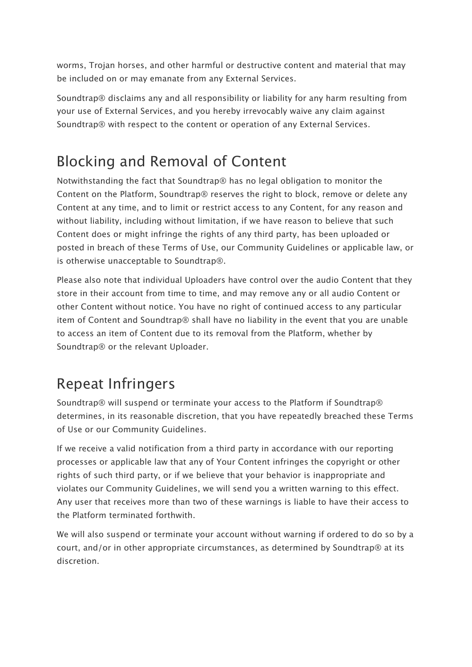worms, Trojan horses, and other harmful or destructive content and material that may be included on or may emanate from any External Services.

Soundtrap® disclaims any and all responsibility or liability for any harm resulting from your use of External Services, and you hereby irrevocably waive any claim against Soundtrap® with respect to the content or operation of any External Services.

## Blocking and Removal of Content

Notwithstanding the fact that Soundtrap® has no legal obligation to monitor the Content on the Platform, Soundtrap® reserves the right to block, remove or delete any Content at any time, and to limit or restrict access to any Content, for any reason and without liability, including without limitation, if we have reason to believe that such Content does or might infringe the rights of any third party, has been uploaded or posted in breach of these Terms of Use, our Community Guidelines or applicable law, or is otherwise unacceptable to Soundtrap®.

Please also note that individual Uploaders have control over the audio Content that they store in their account from time to time, and may remove any or all audio Content or other Content without notice. You have no right of continued access to any particular item of Content and Soundtrap® shall have no liability in the event that you are unable to access an item of Content due to its removal from the Platform, whether by Soundtrap® or the relevant Uploader.

## Repeat Infringers

Soundtrap® will suspend or terminate your access to the Platform if Soundtrap® determines, in its reasonable discretion, that you have repeatedly breached these Terms of Use or our Community Guidelines.

If we receive a valid notification from a third party in accordance with our reporting processes or applicable law that any of Your Content infringes the copyright or other rights of such third party, or if we believe that your behavior is inappropriate and violates our Community Guidelines, we will send you a written warning to this effect. Any user that receives more than two of these warnings is liable to have their access to the Platform terminated forthwith.

We will also suspend or terminate your account without warning if ordered to do so by a court, and/or in other appropriate circumstances, as determined by Soundtrap® at its discretion.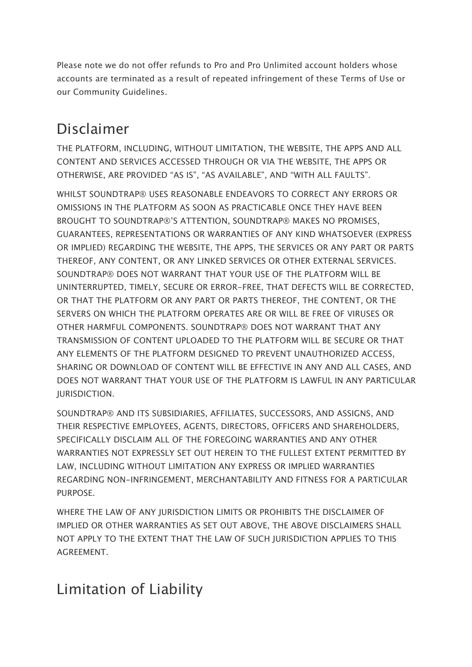Please note we do not offer refunds to Pro and Pro Unlimited account holders whose accounts are terminated as a result of repeated infringement of these Terms of Use or our Community Guidelines.

## Disclaimer

THE PLATFORM, INCLUDING, WITHOUT LIMITATION, THE WEBSITE, THE APPS AND ALL CONTENT AND SERVICES ACCESSED THROUGH OR VIA THE WEBSITE, THE APPS OR OTHERWISE, ARE PROVIDED "AS IS", "AS AVAILABLE", AND "WITH ALL FAULTS".

WHILST SOUNDTRAP® USES REASONABLE ENDEAVORS TO CORRECT ANY ERRORS OR OMISSIONS IN THE PLATFORM AS SOON AS PRACTICABLE ONCE THEY HAVE BEEN BROUGHT TO SOUNDTRAP®'S ATTENTION, SOUNDTRAP® MAKES NO PROMISES, GUARANTEES, REPRESENTATIONS OR WARRANTIES OF ANY KIND WHATSOEVER (EXPRESS OR IMPLIED) REGARDING THE WEBSITE, THE APPS, THE SERVICES OR ANY PART OR PARTS THEREOF, ANY CONTENT, OR ANY LINKED SERVICES OR OTHER EXTERNAL SERVICES. SOUNDTRAP® DOES NOT WARRANT THAT YOUR USE OF THE PLATFORM WILL BE UNINTERRUPTED, TIMELY, SECURE OR ERROR-FREE, THAT DEFECTS WILL BE CORRECTED, OR THAT THE PLATFORM OR ANY PART OR PARTS THEREOF, THE CONTENT, OR THE SERVERS ON WHICH THE PLATFORM OPERATES ARE OR WILL BE FREE OF VIRUSES OR OTHER HARMFUL COMPONENTS. SOUNDTRAP® DOES NOT WARRANT THAT ANY TRANSMISSION OF CONTENT UPLOADED TO THE PLATFORM WILL BE SECURE OR THAT ANY ELEMENTS OF THE PLATFORM DESIGNED TO PREVENT UNAUTHORIZED ACCESS, SHARING OR DOWNLOAD OF CONTENT WILL BE EFFECTIVE IN ANY AND ALL CASES, AND DOES NOT WARRANT THAT YOUR USE OF THE PLATFORM IS LAWFUL IN ANY PARTICULAR JURISDICTION.

SOUNDTRAP® AND ITS SUBSIDIARIES, AFFILIATES, SUCCESSORS, AND ASSIGNS, AND THEIR RESPECTIVE EMPLOYEES, AGENTS, DIRECTORS, OFFICERS AND SHAREHOLDERS, SPECIFICALLY DISCLAIM ALL OF THE FOREGOING WARRANTIES AND ANY OTHER WARRANTIES NOT EXPRESSLY SET OUT HEREIN TO THE FULLEST EXTENT PERMITTED BY LAW, INCLUDING WITHOUT LIMITATION ANY EXPRESS OR IMPLIED WARRANTIES REGARDING NON-INFRINGEMENT, MERCHANTABILITY AND FITNESS FOR A PARTICULAR PURPOSE.

WHERE THE LAW OF ANY JURISDICTION LIMITS OR PROHIBITS THE DISCLAIMER OF IMPLIED OR OTHER WARRANTIES AS SET OUT ABOVE, THE ABOVE DISCLAIMERS SHALL NOT APPLY TO THE EXTENT THAT THE LAW OF SUCH JURISDICTION APPLIES TO THIS AGREEMENT.

#### Limitation of Liability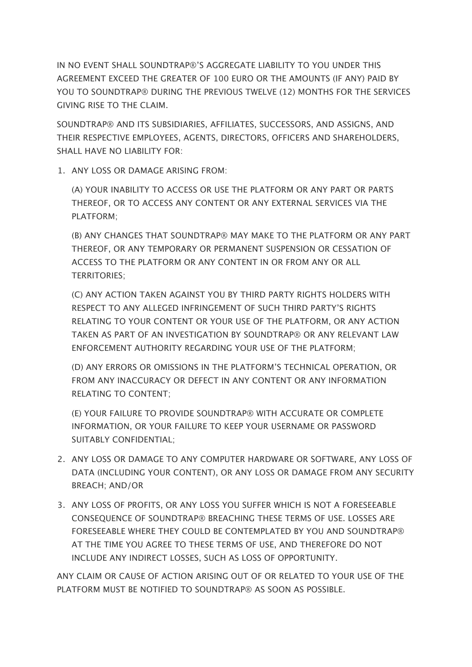IN NO EVENT SHALL SOUNDTRAP®'S AGGREGATE LIABILITY TO YOU UNDER THIS AGREEMENT EXCEED THE GREATER OF 100 EURO OR THE AMOUNTS (IF ANY) PAID BY YOU TO SOUNDTRAP® DURING THE PREVIOUS TWELVE (12) MONTHS FOR THE SERVICES GIVING RISE TO THE CLAIM.

SOUNDTRAP® AND ITS SUBSIDIARIES, AFFILIATES, SUCCESSORS, AND ASSIGNS, AND THEIR RESPECTIVE EMPLOYEES, AGENTS, DIRECTORS, OFFICERS AND SHAREHOLDERS, SHALL HAVE NO LIABILITY FOR:

1. ANY LOSS OR DAMAGE ARISING FROM:

(A) YOUR INABILITY TO ACCESS OR USE THE PLATFORM OR ANY PART OR PARTS THEREOF, OR TO ACCESS ANY CONTENT OR ANY EXTERNAL SERVICES VIA THE PLATFORM;

(B) ANY CHANGES THAT SOUNDTRAP® MAY MAKE TO THE PLATFORM OR ANY PART THEREOF, OR ANY TEMPORARY OR PERMANENT SUSPENSION OR CESSATION OF ACCESS TO THE PLATFORM OR ANY CONTENT IN OR FROM ANY OR ALL TERRITORIES;

(C) ANY ACTION TAKEN AGAINST YOU BY THIRD PARTY RIGHTS HOLDERS WITH RESPECT TO ANY ALLEGED INFRINGEMENT OF SUCH THIRD PARTY'S RIGHTS RELATING TO YOUR CONTENT OR YOUR USE OF THE PLATFORM, OR ANY ACTION TAKEN AS PART OF AN INVESTIGATION BY SOUNDTRAP® OR ANY RELEVANT LAW ENFORCEMENT AUTHORITY REGARDING YOUR USE OF THE PLATFORM;

(D) ANY ERRORS OR OMISSIONS IN THE PLATFORM'S TECHNICAL OPERATION, OR FROM ANY INACCURACY OR DEFECT IN ANY CONTENT OR ANY INFORMATION RELATING TO CONTENT;

(E) YOUR FAILURE TO PROVIDE SOUNDTRAP® WITH ACCURATE OR COMPLETE INFORMATION, OR YOUR FAILURE TO KEEP YOUR USERNAME OR PASSWORD SUITABLY CONFIDENTIAL;

- 2. ANY LOSS OR DAMAGE TO ANY COMPUTER HARDWARE OR SOFTWARE, ANY LOSS OF DATA (INCLUDING YOUR CONTENT), OR ANY LOSS OR DAMAGE FROM ANY SECURITY BREACH; AND/OR
- 3. ANY LOSS OF PROFITS, OR ANY LOSS YOU SUFFER WHICH IS NOT A FORESEEABLE CONSEQUENCE OF SOUNDTRAP® BREACHING THESE TERMS OF USE. LOSSES ARE FORESEEABLE WHERE THEY COULD BE CONTEMPLATED BY YOU AND SOUNDTRAP® AT THE TIME YOU AGREE TO THESE TERMS OF USE, AND THEREFORE DO NOT INCLUDE ANY INDIRECT LOSSES, SUCH AS LOSS OF OPPORTUNITY.

ANY CLAIM OR CAUSE OF ACTION ARISING OUT OF OR RELATED TO YOUR USE OF THE PLATFORM MUST BE NOTIFIED TO SOUNDTRAP® AS SOON AS POSSIBLE.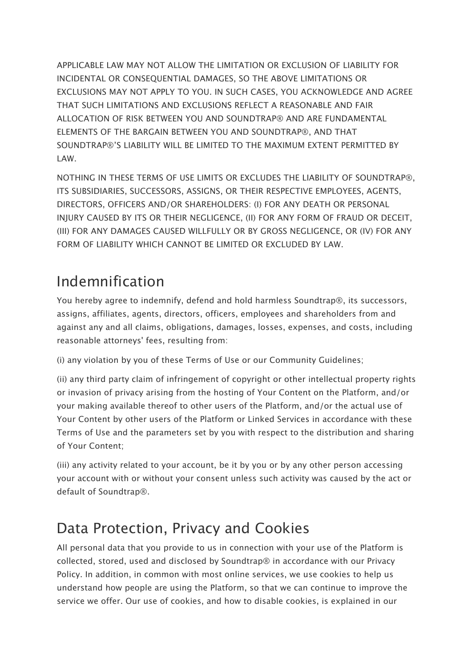APPLICABLE LAW MAY NOT ALLOW THE LIMITATION OR EXCLUSION OF LIABILITY FOR INCIDENTAL OR CONSEQUENTIAL DAMAGES, SO THE ABOVE LIMITATIONS OR EXCLUSIONS MAY NOT APPLY TO YOU. IN SUCH CASES, YOU ACKNOWLEDGE AND AGREE THAT SUCH LIMITATIONS AND EXCLUSIONS REFLECT A REASONABLE AND FAIR ALLOCATION OF RISK BETWEEN YOU AND SOUNDTRAP® AND ARE FUNDAMENTAL ELEMENTS OF THE BARGAIN BETWEEN YOU AND SOUNDTRAP®, AND THAT SOUNDTRAP®'S LIABILITY WILL BE LIMITED TO THE MAXIMUM EXTENT PERMITTED BY LAW.

NOTHING IN THESE TERMS OF USE LIMITS OR EXCLUDES THE LIABILITY OF SOUNDTRAP®, ITS SUBSIDIARIES, SUCCESSORS, ASSIGNS, OR THEIR RESPECTIVE EMPLOYEES, AGENTS, DIRECTORS, OFFICERS AND/OR SHAREHOLDERS: (I) FOR ANY DEATH OR PERSONAL INJURY CAUSED BY ITS OR THEIR NEGLIGENCE, (II) FOR ANY FORM OF FRAUD OR DECEIT, (III) FOR ANY DAMAGES CAUSED WILLFULLY OR BY GROSS NEGLIGENCE, OR (IV) FOR ANY FORM OF LIABILITY WHICH CANNOT BE LIMITED OR EXCLUDED BY LAW.

#### Indemnification

You hereby agree to indemnify, defend and hold harmless Soundtrap®, its successors, assigns, affiliates, agents, directors, officers, employees and shareholders from and against any and all claims, obligations, damages, losses, expenses, and costs, including reasonable attorneys' fees, resulting from:

(i) any violation by you of these Terms of Use or our Community Guidelines;

(ii) any third party claim of infringement of copyright or other intellectual property rights or invasion of privacy arising from the hosting of Your Content on the Platform, and/or your making available thereof to other users of the Platform, and/or the actual use of Your Content by other users of the Platform or Linked Services in accordance with these Terms of Use and the parameters set by you with respect to the distribution and sharing of Your Content;

(iii) any activity related to your account, be it by you or by any other person accessing your account with or without your consent unless such activity was caused by the act or default of Soundtrap®.

## Data Protection, Privacy and Cookies

All personal data that you provide to us in connection with your use of the Platform is collected, stored, used and disclosed by Soundtrap® in accordance with our Privacy Policy. In addition, in common with most online services, we use cookies to help us understand how people are using the Platform, so that we can continue to improve the service we offer. Our use of cookies, and how to disable cookies, is explained in our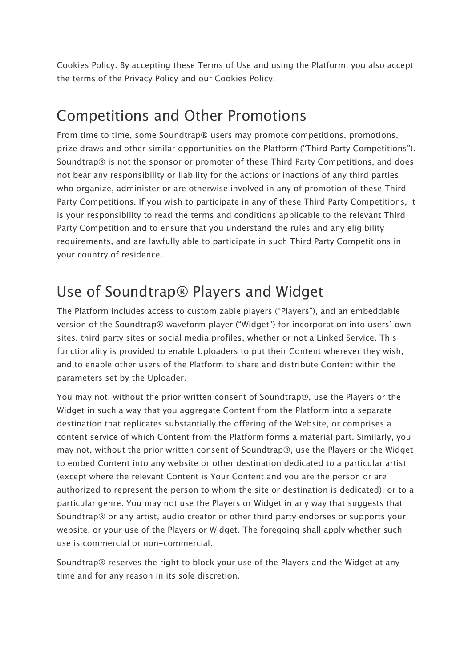Cookies Policy. By accepting these Terms of Use and using the Platform, you also accept the terms of the Privacy Policy and our Cookies Policy.

#### Competitions and Other Promotions

From time to time, some Soundtrap® users may promote competitions, promotions, prize draws and other similar opportunities on the Platform ("Third Party Competitions"). Soundtrap® is not the sponsor or promoter of these Third Party Competitions, and does not bear any responsibility or liability for the actions or inactions of any third parties who organize, administer or are otherwise involved in any of promotion of these Third Party Competitions. If you wish to participate in any of these Third Party Competitions, it is your responsibility to read the terms and conditions applicable to the relevant Third Party Competition and to ensure that you understand the rules and any eligibility requirements, and are lawfully able to participate in such Third Party Competitions in your country of residence.

#### Use of Soundtrap® Players and Widget

The Platform includes access to customizable players ("Players"), and an embeddable version of the Soundtrap® waveform player ("Widget") for incorporation into users' own sites, third party sites or social media profiles, whether or not a Linked Service. This functionality is provided to enable Uploaders to put their Content wherever they wish, and to enable other users of the Platform to share and distribute Content within the parameters set by the Uploader.

You may not, without the prior written consent of Soundtrap®, use the Players or the Widget in such a way that you aggregate Content from the Platform into a separate destination that replicates substantially the offering of the Website, or comprises a content service of which Content from the Platform forms a material part. Similarly, you may not, without the prior written consent of Soundtrap®, use the Players or the Widget to embed Content into any website or other destination dedicated to a particular artist (except where the relevant Content is Your Content and you are the person or are authorized to represent the person to whom the site or destination is dedicated), or to a particular genre. You may not use the Players or Widget in any way that suggests that Soundtrap® or any artist, audio creator or other third party endorses or supports your website, or your use of the Players or Widget. The foregoing shall apply whether such use is commercial or non-commercial.

Soundtrap® reserves the right to block your use of the Players and the Widget at any time and for any reason in its sole discretion.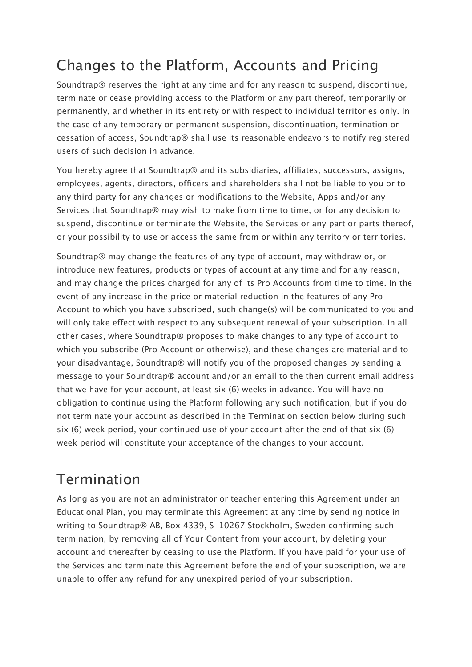## Changes to the Platform, Accounts and Pricing

Soundtrap® reserves the right at any time and for any reason to suspend, discontinue, terminate or cease providing access to the Platform or any part thereof, temporarily or permanently, and whether in its entirety or with respect to individual territories only. In the case of any temporary or permanent suspension, discontinuation, termination or cessation of access, Soundtrap® shall use its reasonable endeavors to notify registered users of such decision in advance.

You hereby agree that Soundtrap® and its subsidiaries, affiliates, successors, assigns, employees, agents, directors, officers and shareholders shall not be liable to you or to any third party for any changes or modifications to the Website, Apps and/or any Services that Soundtrap® may wish to make from time to time, or for any decision to suspend, discontinue or terminate the Website, the Services or any part or parts thereof, or your possibility to use or access the same from or within any territory or territories.

Soundtrap® may change the features of any type of account, may withdraw or, or introduce new features, products or types of account at any time and for any reason, and may change the prices charged for any of its Pro Accounts from time to time. In the event of any increase in the price or material reduction in the features of any Pro Account to which you have subscribed, such change(s) will be communicated to you and will only take effect with respect to any subsequent renewal of your subscription. In all other cases, where Soundtrap® proposes to make changes to any type of account to which you subscribe (Pro Account or otherwise), and these changes are material and to your disadvantage, Soundtrap® will notify you of the proposed changes by sending a message to your Soundtrap® account and/or an email to the then current email address that we have for your account, at least six (6) weeks in advance. You will have no obligation to continue using the Platform following any such notification, but if you do not terminate your account as described in the Termination section below during such six (6) week period, your continued use of your account after the end of that six (6) week period will constitute your acceptance of the changes to your account.

#### Termination

As long as you are not an administrator or teacher entering this Agreement under an Educational Plan, you may terminate this Agreement at any time by sending notice in writing to Soundtrap® AB, Box 4339, S-10267 Stockholm, Sweden confirming such termination, by removing all of Your Content from your account, by deleting your account and thereafter by ceasing to use the Platform. If you have paid for your use of the Services and terminate this Agreement before the end of your subscription, we are unable to offer any refund for any unexpired period of your subscription.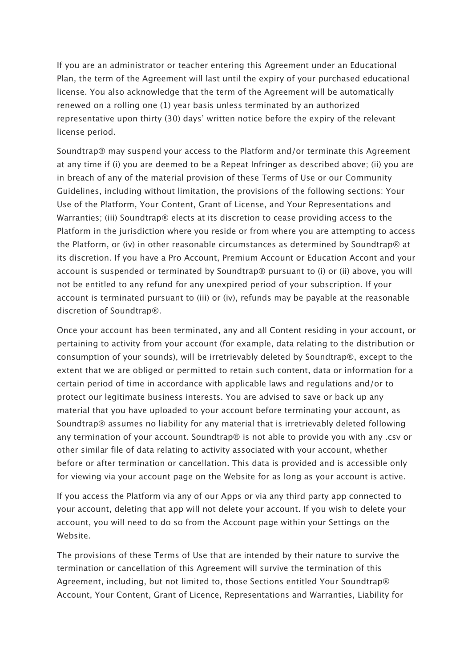If you are an administrator or teacher entering this Agreement under an Educational Plan, the term of the Agreement will last until the expiry of your purchased educational license. You also acknowledge that the term of the Agreement will be automatically renewed on a rolling one (1) year basis unless terminated by an authorized representative upon thirty (30) days' written notice before the expiry of the relevant license period.

Soundtrap® may suspend your access to the Platform and/or terminate this Agreement at any time if (i) you are deemed to be a Repeat Infringer as described above; (ii) you are in breach of any of the material provision of these Terms of Use or our Community Guidelines, including without limitation, the provisions of the following sections: Your Use of the Platform, Your Content, Grant of License, and Your Representations and Warranties; (iii) Soundtrap® elects at its discretion to cease providing access to the Platform in the jurisdiction where you reside or from where you are attempting to access the Platform, or (iv) in other reasonable circumstances as determined by Soundtrap® at its discretion. If you have a Pro Account, Premium Account or Education Accont and your account is suspended or terminated by Soundtrap® pursuant to (i) or (ii) above, you will not be entitled to any refund for any unexpired period of your subscription. If your account is terminated pursuant to (iii) or (iv), refunds may be payable at the reasonable discretion of Soundtrap®.

Once your account has been terminated, any and all Content residing in your account, or pertaining to activity from your account (for example, data relating to the distribution or consumption of your sounds), will be irretrievably deleted by Soundtrap®, except to the extent that we are obliged or permitted to retain such content, data or information for a certain period of time in accordance with applicable laws and regulations and/or to protect our legitimate business interests. You are advised to save or back up any material that you have uploaded to your account before terminating your account, as Soundtrap® assumes no liability for any material that is irretrievably deleted following any termination of your account. Soundtrap® is not able to provide you with any .csv or other similar file of data relating to activity associated with your account, whether before or after termination or cancellation. This data is provided and is accessible only for viewing via your account page on the Website for as long as your account is active.

If you access the Platform via any of our Apps or via any third party app connected to your account, deleting that app will not delete your account. If you wish to delete your account, you will need to do so from the Account page within your Settings on the Website.

The provisions of these Terms of Use that are intended by their nature to survive the termination or cancellation of this Agreement will survive the termination of this Agreement, including, but not limited to, those Sections entitled Your Soundtrap® Account, Your Content, Grant of Licence, Representations and Warranties, Liability for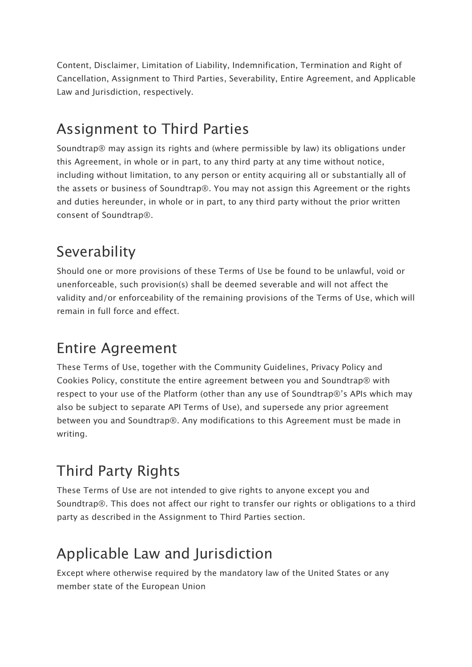Content, Disclaimer, Limitation of Liability, Indemnification, Termination and Right of Cancellation, Assignment to Third Parties, Severability, Entire Agreement, and Applicable Law and Jurisdiction, respectively.

## Assignment to Third Parties

Soundtrap® may assign its rights and (where permissible by law) its obligations under this Agreement, in whole or in part, to any third party at any time without notice, including without limitation, to any person or entity acquiring all or substantially all of the assets or business of Soundtrap®. You may not assign this Agreement or the rights and duties hereunder, in whole or in part, to any third party without the prior written consent of Soundtrap®.

## Severability

Should one or more provisions of these Terms of Use be found to be unlawful, void or unenforceable, such provision(s) shall be deemed severable and will not affect the validity and/or enforceability of the remaining provisions of the Terms of Use, which will remain in full force and effect.

## Entire Agreement

These Terms of Use, together with the Community Guidelines, Privacy Policy and Cookies Policy, constitute the entire agreement between you and Soundtrap® with respect to your use of the Platform (other than any use of Soundtrap®'s APIs which may also be subject to separate API Terms of Use), and supersede any prior agreement between you and Soundtrap®. Any modifications to this Agreement must be made in writing.

## Third Party Rights

These Terms of Use are not intended to give rights to anyone except you and Soundtrap®. This does not affect our right to transfer our rights or obligations to a third party as described in the Assignment to Third Parties section.

## Applicable Law and Jurisdiction

Except where otherwise required by the mandatory law of the United States or any member state of the European Union